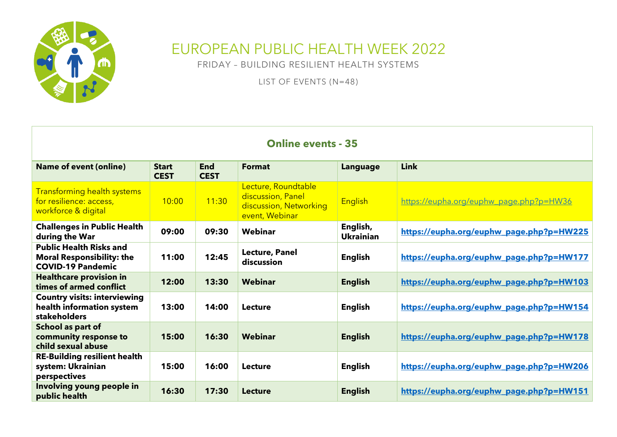

## EUROPEAN PUBLIC HEALTH WEEK 2022

FRIDAY – BUILDING RESILIENT HEALTH SYSTEMS

LIST OF EVENTS (N=48)

| <b>Online events - 35</b>                                                                      |                             |                           |                                                                                      |                              |                                          |  |  |
|------------------------------------------------------------------------------------------------|-----------------------------|---------------------------|--------------------------------------------------------------------------------------|------------------------------|------------------------------------------|--|--|
| <b>Name of event (online)</b>                                                                  | <b>Start</b><br><b>CEST</b> | <b>End</b><br><b>CEST</b> | <b>Format</b>                                                                        | Language                     | Link                                     |  |  |
| <b>Transforming health systems</b><br>for resilience: access,<br>workforce & digital           | 10:00                       | 11:30                     | Lecture, Roundtable<br>discussion, Panel<br>discussion, Networking<br>event, Webinar | <b>English</b>               | https://eupha.org/euphw_page.php?p=HW36  |  |  |
| <b>Challenges in Public Health</b><br>during the War                                           | 09:00                       | 09:30                     | Webinar                                                                              | English,<br><b>Ukrainian</b> | https://eupha.org/euphw_page.php?p=HW225 |  |  |
| <b>Public Health Risks and</b><br><b>Moral Responsibility: the</b><br><b>COVID-19 Pandemic</b> | 11:00                       | 12:45                     | <b>Lecture, Panel</b><br>discussion                                                  | English                      | https://eupha.org/euphw_page.php?p=HW177 |  |  |
| <b>Healthcare provision in</b><br>times of armed conflict                                      | 12:00                       | 13:30                     | Webinar                                                                              | <b>English</b>               | https://eupha.org/euphw_page.php?p=HW103 |  |  |
| <b>Country visits: interviewing</b><br>health information system<br>stakeholders               | 13:00                       | 14:00                     | Lecture                                                                              | English                      | https://eupha.org/euphw_page.php?p=HW154 |  |  |
| School as part of<br>community response to<br>child sexual abuse                               | 15:00                       | 16:30                     | Webinar                                                                              | <b>English</b>               | https://eupha.org/euphw_page.php?p=HW178 |  |  |
| <b>RE-Building resilient health</b><br>system: Ukrainian<br>perspectives                       | 15:00                       | 16:00                     | Lecture                                                                              | English                      | https://eupha.org/euphw_page.php?p=HW206 |  |  |
| Involving young people in<br>public health                                                     | 16:30                       | 17:30                     | <b>Lecture</b>                                                                       | <b>English</b>               | https://eupha.org/euphw_page.php?p=HW151 |  |  |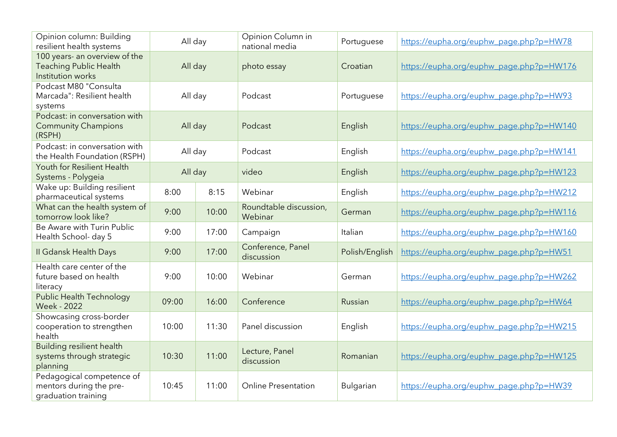| Opinion column: Building<br>resilient health systems                                | All day |       | Opinion Column in<br>national media | Portuguese       | https://eupha.org/euphw_page.php?p=HW78  |
|-------------------------------------------------------------------------------------|---------|-------|-------------------------------------|------------------|------------------------------------------|
| 100 years- an overview of the<br><b>Teaching Public Health</b><br>Institution works | All day |       | photo essay                         | Croatian         | https://eupha.org/euphw_page.php?p=HW176 |
| Podcast M80 "Consulta<br>Marcada": Resilient health<br>systems                      | All day |       | Podcast                             | Portuguese       | https://eupha.org/euphw_page.php?p=HW93  |
| Podcast: in conversation with<br><b>Community Champions</b><br>(RSPH)               | All day |       | Podcast                             | English          | https://eupha.org/euphw_page.php?p=HW140 |
| Podcast: in conversation with<br>the Health Foundation (RSPH)                       | All day |       | Podcast                             | English          | https://eupha.org/euphw_page.php?p=HW141 |
| Youth for Resilient Health<br>Systems - Polygeia                                    | All day |       | video                               | English          | https://eupha.org/euphw_page.php?p=HW123 |
| Wake up: Building resilient<br>pharmaceutical systems                               | 8:00    | 8:15  | Webinar                             | English          | https://eupha.org/euphw_page.php?p=HW212 |
| What can the health system of<br>tomorrow look like?                                | 9:00    | 10:00 | Roundtable discussion,<br>Webinar   | German           | https://eupha.org/euphw_page.php?p=HW116 |
| Be Aware with Turin Public<br>Health School- day 5                                  | 9:00    | 17:00 | Campaign                            | Italian          | https://eupha.org/euphw_page.php?p=HW160 |
| II Gdansk Health Days                                                               | 9:00    | 17:00 | Conference, Panel<br>discussion     | Polish/English   | https://eupha.org/euphw_page.php?p=HW51  |
| Health care center of the<br>future based on health<br>literacy                     | 9:00    | 10:00 | Webinar                             | German           | https://eupha.org/euphw_page.php?p=HW262 |
| <b>Public Health Technology</b><br><b>Week - 2022</b>                               | 09:00   | 16:00 | Conference                          | Russian          | https://eupha.org/euphw_page.php?p=HW64  |
| Showcasing cross-border<br>cooperation to strengthen<br>health                      | 10:00   | 11:30 | Panel discussion                    | English          | https://eupha.org/euphw_page.php?p=HW215 |
| <b>Building resilient health</b><br>systems through strategic<br>planning           | 10:30   | 11:00 | Lecture, Panel<br>discussion        | Romanian         | https://eupha.org/euphw_page.php?p=HW125 |
| Pedagogical competence of<br>mentors during the pre-<br>graduation training         | 10:45   | 11:00 | <b>Online Presentation</b>          | <b>Bulgarian</b> | https://eupha.org/euphw_page.php?p=HW39  |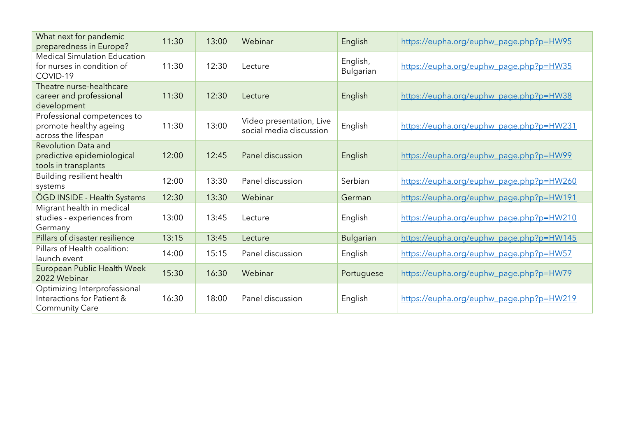| What next for pandemic<br>preparedness in Europe?                                   | 11:30 | 13:00 | Webinar                                             | English                      | https://eupha.org/euphw_page.php?p=HW95  |
|-------------------------------------------------------------------------------------|-------|-------|-----------------------------------------------------|------------------------------|------------------------------------------|
| <b>Medical Simulation Education</b><br>for nurses in condition of<br>COVID-19       | 11:30 | 12:30 | Lecture                                             | English,<br><b>Bulgarian</b> | https://eupha.org/euphw_page.php?p=HW35  |
| Theatre nurse-healthcare<br>career and professional<br>development                  | 11:30 | 12:30 | Lecture                                             | English                      | https://eupha.org/euphw_page.php?p=HW38  |
| Professional competences to<br>promote healthy ageing<br>across the lifespan        | 11:30 | 13:00 | Video presentation, Live<br>social media discussion | English                      | https://eupha.org/euphw_page.php?p=HW231 |
| <b>Revolution Data and</b><br>predictive epidemiological<br>tools in transplants    | 12:00 | 12:45 | Panel discussion                                    | English                      | https://eupha.org/euphw_page.php?p=HW99  |
| Building resilient health<br>systems                                                | 12:00 | 13:30 | Panel discussion                                    | Serbian                      | https://eupha.org/euphw_page.php?p=HW260 |
| ÖGD INSIDE - Health Systems                                                         | 12:30 | 13:30 | Webinar                                             | German                       | https://eupha.org/euphw_page.php?p=HW191 |
| Migrant health in medical<br>studies - experiences from<br>Germany                  | 13:00 | 13:45 | Lecture                                             | English                      | https://eupha.org/euphw_page.php?p=HW210 |
| Pillars of disaster resilience                                                      | 13:15 | 13:45 | Lecture                                             | <b>Bulgarian</b>             | https://eupha.org/euphw_page.php?p=HW145 |
| Pillars of Health coalition:<br>launch event                                        | 14:00 | 15:15 | Panel discussion                                    | English                      | https://eupha.org/euphw_page.php?p=HW57  |
| European Public Health Week<br>2022 Webinar                                         | 15:30 | 16:30 | Webinar                                             | Portuguese                   | https://eupha.org/euphw_page.php?p=HW79  |
| Optimizing Interprofessional<br>Interactions for Patient &<br><b>Community Care</b> | 16:30 | 18:00 | Panel discussion                                    | English                      | https://eupha.org/euphw_page.php?p=HW219 |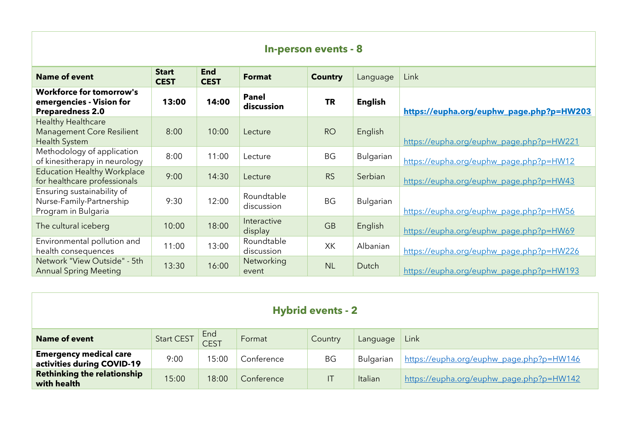| <b>In-person events - 8</b>                                                            |                             |                           |                            |                |                |                                          |  |
|----------------------------------------------------------------------------------------|-----------------------------|---------------------------|----------------------------|----------------|----------------|------------------------------------------|--|
| <b>Name of event</b>                                                                   | <b>Start</b><br><b>CEST</b> | <b>End</b><br><b>CEST</b> | <b>Format</b>              | <b>Country</b> | Language       | Link                                     |  |
| <b>Workforce for tomorrow's</b><br>emergencies - Vision for<br><b>Preparedness 2.0</b> | 13:00                       | 14:00                     | <b>Panel</b><br>discussion | <b>TR</b>      | <b>English</b> | https://eupha.org/euphw_page.php?p=HW203 |  |
| <b>Healthy Healthcare</b><br><b>Management Core Resilient</b><br><b>Health System</b>  | 8:00                        | 10:00                     | Lecture                    | <b>RO</b>      | English        | https://eupha.org/euphw_page.php?p=HW221 |  |
| Methodology of application<br>of kinesitherapy in neurology                            | 8:00                        | 11:00                     | Lecture                    | <b>BG</b>      | Bulgarian      | https://eupha.org/euphw_page.php?p=HW12  |  |
| <b>Education Healthy Workplace</b><br>for healthcare professionals                     | 9:00                        | 14:30                     | Lecture                    | <b>RS</b>      | Serbian        | https://eupha.org/euphw_page.php?p=HW43  |  |
| Ensuring sustainability of<br>Nurse-Family-Partnership<br>Program in Bulgaria          | 9:30                        | 12:00                     | Roundtable<br>discussion   | <b>BG</b>      | Bulgarian      | https://eupha.org/euphw_page.php?p=HW56  |  |
| The cultural iceberg                                                                   | 10:00                       | 18:00                     | Interactive<br>display     | <b>GB</b>      | English        | https://eupha.org/euphw_page.php?p=HW69  |  |
| Environmental pollution and<br>health consequences                                     | 11:00                       | 13:00                     | Roundtable<br>discussion   | XK             | Albanian       | https://eupha.org/euphw_page.php?p=HW226 |  |
| Network "View Outside" - 5th<br><b>Annual Spring Meeting</b>                           | 13:30                       | 16:00                     | Networking<br>event        | <b>NL</b>      | Dutch          | https://eupha.org/euphw_page.php?p=HW193 |  |

| <b>Hybrid events - 2</b>                                    |                   |                    |            |           |           |                                          |  |
|-------------------------------------------------------------|-------------------|--------------------|------------|-----------|-----------|------------------------------------------|--|
| <b>Name of event</b>                                        | <b>Start CEST</b> | End<br><b>CEST</b> | Format     | Country   | Language  | Link                                     |  |
| <b>Emergency medical care</b><br>activities during COVID-19 | 9:00              | 15:00              | Conference | <b>BG</b> | Bulgarian | https://eupha.org/euphw_page.php?p=HW146 |  |
| <b>Rethinking the relationship</b><br>with health           | 15:00             | 18:00              | Conference | ΙT        | Italian   | https://eupha.org/euphw_page.php?p=HW142 |  |